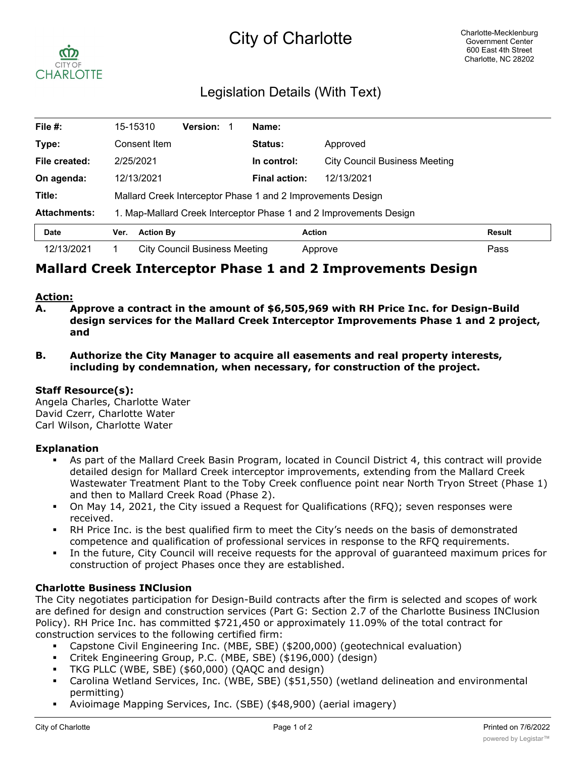# City of Charlotte



## Legislation Details (With Text)

| File $#$ :          | 15-15310                                                           |                  | <b>Version:</b> |  | Name:                |                                      |               |
|---------------------|--------------------------------------------------------------------|------------------|-----------------|--|----------------------|--------------------------------------|---------------|
| Type:               | Consent Item                                                       |                  |                 |  | <b>Status:</b>       | Approved                             |               |
| File created:       | 2/25/2021                                                          |                  |                 |  | In control:          | <b>City Council Business Meeting</b> |               |
| On agenda:          | 12/13/2021                                                         |                  |                 |  | <b>Final action:</b> | 12/13/2021                           |               |
| Title:              | Mallard Creek Interceptor Phase 1 and 2 Improvements Design        |                  |                 |  |                      |                                      |               |
| <b>Attachments:</b> | 1. Map-Mallard Creek Interceptor Phase 1 and 2 Improvements Design |                  |                 |  |                      |                                      |               |
| <b>Date</b>         | Ver.                                                               | <b>Action By</b> |                 |  |                      | <b>Action</b>                        | <b>Result</b> |
| 12/13/2021          | <b>City Council Business Meeting</b>                               |                  |                 |  |                      | Approve                              | Pass          |

## **Mallard Creek Interceptor Phase 1 and 2 Improvements Design**

#### **Action:**

- **A. Approve a contract in the amount of \$6,505,969 with RH Price Inc. for Design-Build design services for the Mallard Creek Interceptor Improvements Phase 1 and 2 project, and**
- **B. Authorize the City Manager to acquire all easements and real property interests, including by condemnation, when necessary, for construction of the project.**

#### **Staff Resource(s):**

Angela Charles, Charlotte Water David Czerr, Charlotte Water Carl Wilson, Charlotte Water

#### **Explanation**

- § As part of the Mallard Creek Basin Program, located in Council District 4, this contract will provide detailed design for Mallard Creek interceptor improvements, extending from the Mallard Creek Wastewater Treatment Plant to the Toby Creek confluence point near North Tryon Street (Phase 1) and then to Mallard Creek Road (Phase 2).
- On May 14, 2021, the City issued a Request for Qualifications (RFQ); seven responses were received.
- § RH Price Inc. is the best qualified firm to meet the City's needs on the basis of demonstrated competence and qualification of professional services in response to the RFQ requirements.
- In the future, City Council will receive requests for the approval of guaranteed maximum prices for construction of project Phases once they are established.

#### **Charlotte Business INClusion**

The City negotiates participation for Design-Build contracts after the firm is selected and scopes of work are defined for design and construction services (Part G: Section 2.7 of the Charlotte Business INClusion Policy). RH Price Inc. has committed \$721,450 or approximately 11.09% of the total contract for construction services to the following certified firm:

- § Capstone Civil Engineering Inc. (MBE, SBE) (\$200,000) (geotechnical evaluation)
- § Critek Engineering Group, P.C. (MBE, SBE) (\$196,000) (design)
- § TKG PLLC (WBE, SBE) (\$60,000) (QAQC and design)
- § Carolina Wetland Services, Inc. (WBE, SBE) (\$51,550) (wetland delineation and environmental permitting)
- § Avioimage Mapping Services, Inc. (SBE) (\$48,900) (aerial imagery)